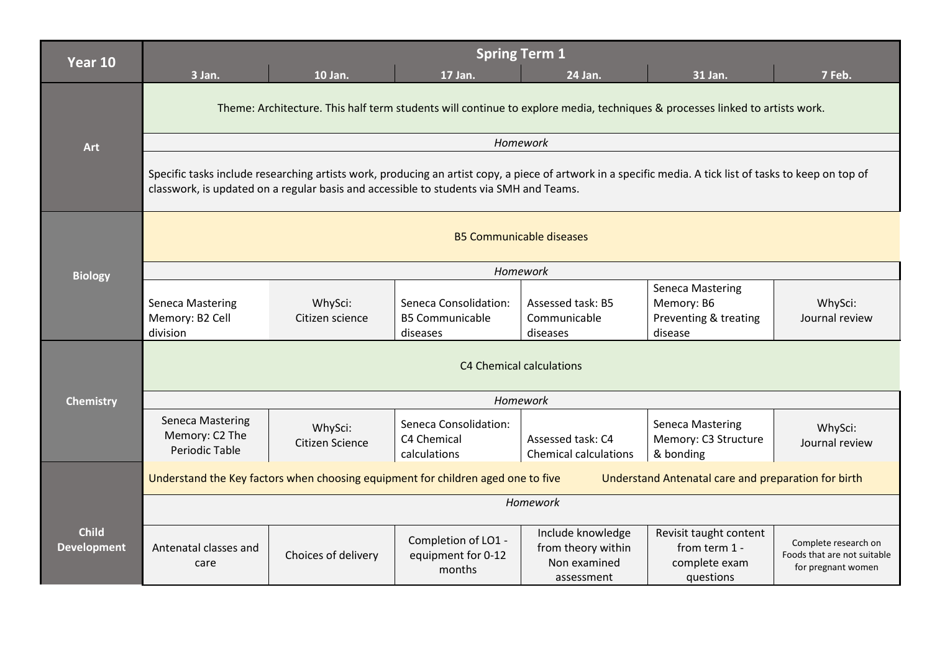| Year 10                            | <b>Spring Term 1</b>                                                                                                                                                                                                                                |                                   |                                                             |                                                                       |                                                                           |                                                                           |  |
|------------------------------------|-----------------------------------------------------------------------------------------------------------------------------------------------------------------------------------------------------------------------------------------------------|-----------------------------------|-------------------------------------------------------------|-----------------------------------------------------------------------|---------------------------------------------------------------------------|---------------------------------------------------------------------------|--|
|                                    | 3 Jan.                                                                                                                                                                                                                                              | 10 Jan.                           | 17 Jan.                                                     | 24 Jan.                                                               | 31 Jan.                                                                   | 7 Feb.                                                                    |  |
|                                    | Theme: Architecture. This half term students will continue to explore media, techniques & processes linked to artists work.<br>Homework                                                                                                             |                                   |                                                             |                                                                       |                                                                           |                                                                           |  |
| <b>Art</b>                         |                                                                                                                                                                                                                                                     |                                   |                                                             |                                                                       |                                                                           |                                                                           |  |
|                                    | Specific tasks include researching artists work, producing an artist copy, a piece of artwork in a specific media. A tick list of tasks to keep on top of<br>classwork, is updated on a regular basis and accessible to students via SMH and Teams. |                                   |                                                             |                                                                       |                                                                           |                                                                           |  |
|                                    | <b>B5 Communicable diseases</b>                                                                                                                                                                                                                     |                                   |                                                             |                                                                       |                                                                           |                                                                           |  |
| <b>Biology</b>                     |                                                                                                                                                                                                                                                     |                                   | Homework                                                    |                                                                       |                                                                           |                                                                           |  |
|                                    | <b>Seneca Mastering</b><br>Memory: B2 Cell<br>division                                                                                                                                                                                              | WhySci:<br>Citizen science        | Seneca Consolidation:<br><b>B5 Communicable</b><br>diseases | Assessed task: B5<br>Communicable<br>diseases                         | <b>Seneca Mastering</b><br>Memory: B6<br>Preventing & treating<br>disease | WhySci:<br>Journal review                                                 |  |
|                                    | C4 Chemical calculations                                                                                                                                                                                                                            |                                   |                                                             |                                                                       |                                                                           |                                                                           |  |
| <b>Chemistry</b>                   | Homework                                                                                                                                                                                                                                            |                                   |                                                             |                                                                       |                                                                           |                                                                           |  |
|                                    | <b>Seneca Mastering</b><br>Memory: C2 The<br>Periodic Table                                                                                                                                                                                         | WhySci:<br><b>Citizen Science</b> | Seneca Consolidation:<br>C4 Chemical<br>calculations        | Assessed task: C4<br><b>Chemical calculations</b>                     | <b>Seneca Mastering</b><br>Memory: C3 Structure<br>& bonding              | WhySci:<br>Journal review                                                 |  |
|                                    | Understand the Key factors when choosing equipment for children aged one to five<br>Understand Antenatal care and preparation for birth                                                                                                             |                                   |                                                             |                                                                       |                                                                           |                                                                           |  |
|                                    | Homework                                                                                                                                                                                                                                            |                                   |                                                             |                                                                       |                                                                           |                                                                           |  |
| <b>Child</b><br><b>Development</b> | Antenatal classes and<br>care                                                                                                                                                                                                                       | Choices of delivery               | Completion of LO1 -<br>equipment for 0-12<br>months         | Include knowledge<br>from theory within<br>Non examined<br>assessment | Revisit taught content<br>from term 1 -<br>complete exam<br>questions     | Complete research on<br>Foods that are not suitable<br>for pregnant women |  |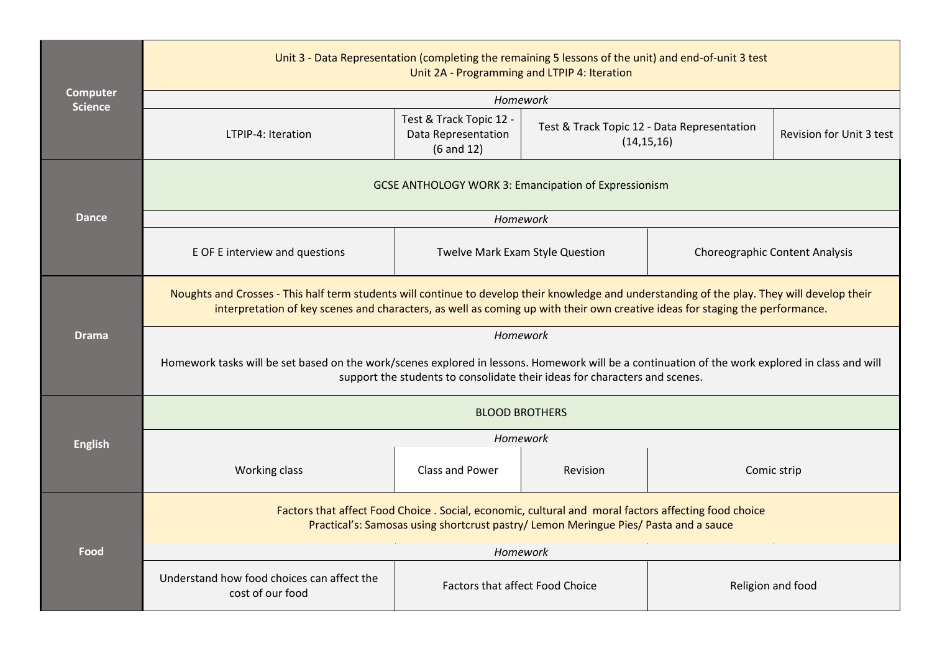| <b>Computer</b><br><b>Science</b> | Unit 3 - Data Representation (completing the remaining 5 lessons of the unit) and end-of-unit 3 test<br>Unit 2A - Programming and LTPIP 4: Iteration                                                                                                                          |                                                                |                                                             |                                       |                          |  |  |  |
|-----------------------------------|-------------------------------------------------------------------------------------------------------------------------------------------------------------------------------------------------------------------------------------------------------------------------------|----------------------------------------------------------------|-------------------------------------------------------------|---------------------------------------|--------------------------|--|--|--|
|                                   | Homework                                                                                                                                                                                                                                                                      |                                                                |                                                             |                                       |                          |  |  |  |
|                                   | LTPIP-4: Iteration                                                                                                                                                                                                                                                            | Test & Track Topic 12 -<br>Data Representation<br>$(6$ and 12) | Test & Track Topic 12 - Data Representation<br>(14, 15, 16) |                                       | Revision for Unit 3 test |  |  |  |
|                                   | <b>GCSE ANTHOLOGY WORK 3: Emancipation of Expressionism</b>                                                                                                                                                                                                                   |                                                                |                                                             |                                       |                          |  |  |  |
| <b>Dance</b>                      |                                                                                                                                                                                                                                                                               | Homework                                                       |                                                             |                                       |                          |  |  |  |
|                                   | E OF E interview and questions                                                                                                                                                                                                                                                | Twelve Mark Exam Style Question                                |                                                             | <b>Choreographic Content Analysis</b> |                          |  |  |  |
|                                   | Noughts and Crosses - This half term students will continue to develop their knowledge and understanding of the play. They will develop their<br>interpretation of key scenes and characters, as well as coming up with their own creative ideas for staging the performance. |                                                                |                                                             |                                       |                          |  |  |  |
| <b>Drama</b>                      | Homework                                                                                                                                                                                                                                                                      |                                                                |                                                             |                                       |                          |  |  |  |
|                                   | Homework tasks will be set based on the work/scenes explored in lessons. Homework will be a continuation of the work explored in class and will<br>support the students to consolidate their ideas for characters and scenes.                                                 |                                                                |                                                             |                                       |                          |  |  |  |
|                                   | <b>BLOOD BROTHERS</b>                                                                                                                                                                                                                                                         |                                                                |                                                             |                                       |                          |  |  |  |
| <b>English</b>                    | Homework                                                                                                                                                                                                                                                                      |                                                                |                                                             |                                       |                          |  |  |  |
|                                   | Working class                                                                                                                                                                                                                                                                 | <b>Class and Power</b>                                         | Revision                                                    |                                       | Comic strip              |  |  |  |
|                                   | Factors that affect Food Choice . Social, economic, cultural and moral factors affecting food choice<br>Practical's: Samosas using shortcrust pastry/ Lemon Meringue Pies/ Pasta and a sauce                                                                                  |                                                                |                                                             |                                       |                          |  |  |  |
| Food                              | Homework                                                                                                                                                                                                                                                                      |                                                                |                                                             |                                       |                          |  |  |  |
|                                   | Understand how food choices can affect the<br><b>Factors that affect Food Choice</b><br>cost of our food                                                                                                                                                                      |                                                                |                                                             | Religion and food                     |                          |  |  |  |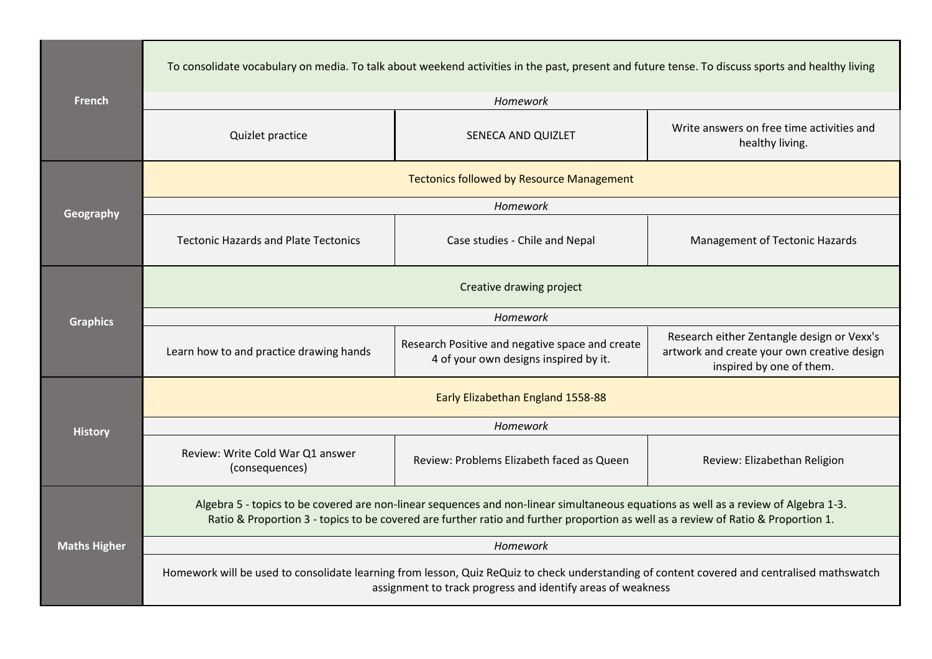| <b>French</b>       | To consolidate vocabulary on media. To talk about weekend activities in the past, present and future tense. To discuss sports and healthy living                                                                                                                         |                                                                                          |                                                                                                                       |  |  |  |  |  |
|---------------------|--------------------------------------------------------------------------------------------------------------------------------------------------------------------------------------------------------------------------------------------------------------------------|------------------------------------------------------------------------------------------|-----------------------------------------------------------------------------------------------------------------------|--|--|--|--|--|
|                     | Homework                                                                                                                                                                                                                                                                 |                                                                                          |                                                                                                                       |  |  |  |  |  |
|                     | Quizlet practice                                                                                                                                                                                                                                                         | SENECA AND QUIZLET                                                                       | Write answers on free time activities and<br>healthy living.                                                          |  |  |  |  |  |
|                     | <b>Tectonics followed by Resource Management</b>                                                                                                                                                                                                                         |                                                                                          |                                                                                                                       |  |  |  |  |  |
| Geography           | Homework                                                                                                                                                                                                                                                                 |                                                                                          |                                                                                                                       |  |  |  |  |  |
|                     | <b>Tectonic Hazards and Plate Tectonics</b>                                                                                                                                                                                                                              | Case studies - Chile and Nepal                                                           | Management of Tectonic Hazards                                                                                        |  |  |  |  |  |
|                     | Creative drawing project                                                                                                                                                                                                                                                 |                                                                                          |                                                                                                                       |  |  |  |  |  |
| <b>Graphics</b>     | Homework                                                                                                                                                                                                                                                                 |                                                                                          |                                                                                                                       |  |  |  |  |  |
|                     | Learn how to and practice drawing hands                                                                                                                                                                                                                                  | Research Positive and negative space and create<br>4 of your own designs inspired by it. | Research either Zentangle design or Vexx's<br>artwork and create your own creative design<br>inspired by one of them. |  |  |  |  |  |
|                     | Early Elizabethan England 1558-88                                                                                                                                                                                                                                        |                                                                                          |                                                                                                                       |  |  |  |  |  |
| <b>History</b>      | Homework                                                                                                                                                                                                                                                                 |                                                                                          |                                                                                                                       |  |  |  |  |  |
|                     | Review: Write Cold War Q1 answer<br>(consequences)                                                                                                                                                                                                                       | Review: Problems Elizabeth faced as Queen                                                | Review: Elizabethan Religion                                                                                          |  |  |  |  |  |
|                     | Algebra 5 - topics to be covered are non-linear sequences and non-linear simultaneous equations as well as a review of Algebra 1-3.<br>Ratio & Proportion 3 - topics to be covered are further ratio and further proportion as well as a review of Ratio & Proportion 1. |                                                                                          |                                                                                                                       |  |  |  |  |  |
| <b>Maths Higher</b> | Homework                                                                                                                                                                                                                                                                 |                                                                                          |                                                                                                                       |  |  |  |  |  |
|                     | Homework will be used to consolidate learning from lesson, Quiz ReQuiz to check understanding of content covered and centralised mathswatch<br>assignment to track progress and identify areas of weakness                                                               |                                                                                          |                                                                                                                       |  |  |  |  |  |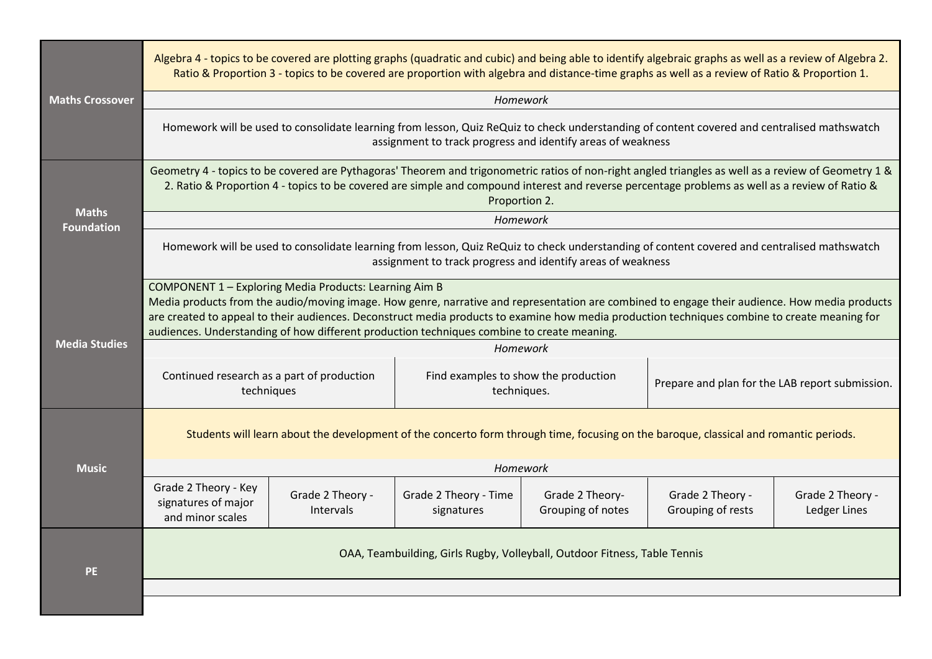|                                   | Algebra 4 - topics to be covered are plotting graphs (quadratic and cubic) and being able to identify algebraic graphs as well as a review of Algebra 2.<br>Ratio & Proportion 3 - topics to be covered are proportion with algebra and distance-time graphs as well as a review of Ratio & Proportion 1.                                                                                                                                              |                               |                                                     |                                      |                                                 |                                  |  |
|-----------------------------------|--------------------------------------------------------------------------------------------------------------------------------------------------------------------------------------------------------------------------------------------------------------------------------------------------------------------------------------------------------------------------------------------------------------------------------------------------------|-------------------------------|-----------------------------------------------------|--------------------------------------|-------------------------------------------------|----------------------------------|--|
| <b>Maths Crossover</b>            |                                                                                                                                                                                                                                                                                                                                                                                                                                                        |                               | Homework                                            |                                      |                                                 |                                  |  |
|                                   | Homework will be used to consolidate learning from lesson, Quiz ReQuiz to check understanding of content covered and centralised mathswatch<br>assignment to track progress and identify areas of weakness                                                                                                                                                                                                                                             |                               |                                                     |                                      |                                                 |                                  |  |
| <b>Maths</b><br><b>Foundation</b> | Geometry 4 - topics to be covered are Pythagoras' Theorem and trigonometric ratios of non-right angled triangles as well as a review of Geometry 1 &<br>2. Ratio & Proportion 4 - topics to be covered are simple and compound interest and reverse percentage problems as well as a review of Ratio &<br>Proportion 2.                                                                                                                                |                               |                                                     |                                      |                                                 |                                  |  |
|                                   |                                                                                                                                                                                                                                                                                                                                                                                                                                                        |                               | Homework                                            |                                      |                                                 |                                  |  |
|                                   | Homework will be used to consolidate learning from lesson, Quiz ReQuiz to check understanding of content covered and centralised mathswatch<br>assignment to track progress and identify areas of weakness                                                                                                                                                                                                                                             |                               |                                                     |                                      |                                                 |                                  |  |
| <b>Media Studies</b>              | COMPONENT 1 - Exploring Media Products: Learning Aim B<br>Media products from the audio/moving image. How genre, narrative and representation are combined to engage their audience. How media products<br>are created to appeal to their audiences. Deconstruct media products to examine how media production techniques combine to create meaning for<br>audiences. Understanding of how different production techniques combine to create meaning. |                               |                                                     |                                      |                                                 |                                  |  |
|                                   | Homework                                                                                                                                                                                                                                                                                                                                                                                                                                               |                               |                                                     |                                      |                                                 |                                  |  |
|                                   | Continued research as a part of production<br>techniques                                                                                                                                                                                                                                                                                                                                                                                               |                               | Find examples to show the production<br>techniques. |                                      | Prepare and plan for the LAB report submission. |                                  |  |
|                                   | Students will learn about the development of the concerto form through time, focusing on the baroque, classical and romantic periods.                                                                                                                                                                                                                                                                                                                  |                               |                                                     |                                      |                                                 |                                  |  |
| <b>Music</b>                      | <b>Homework</b>                                                                                                                                                                                                                                                                                                                                                                                                                                        |                               |                                                     |                                      |                                                 |                                  |  |
|                                   | Grade 2 Theory - Key<br>signatures of major<br>and minor scales                                                                                                                                                                                                                                                                                                                                                                                        | Grade 2 Theory -<br>Intervals | Grade 2 Theory - Time<br>signatures                 | Grade 2 Theory-<br>Grouping of notes | Grade 2 Theory -<br>Grouping of rests           | Grade 2 Theory -<br>Ledger Lines |  |
| <b>PE</b>                         | OAA, Teambuilding, Girls Rugby, Volleyball, Outdoor Fitness, Table Tennis                                                                                                                                                                                                                                                                                                                                                                              |                               |                                                     |                                      |                                                 |                                  |  |
|                                   |                                                                                                                                                                                                                                                                                                                                                                                                                                                        |                               |                                                     |                                      |                                                 |                                  |  |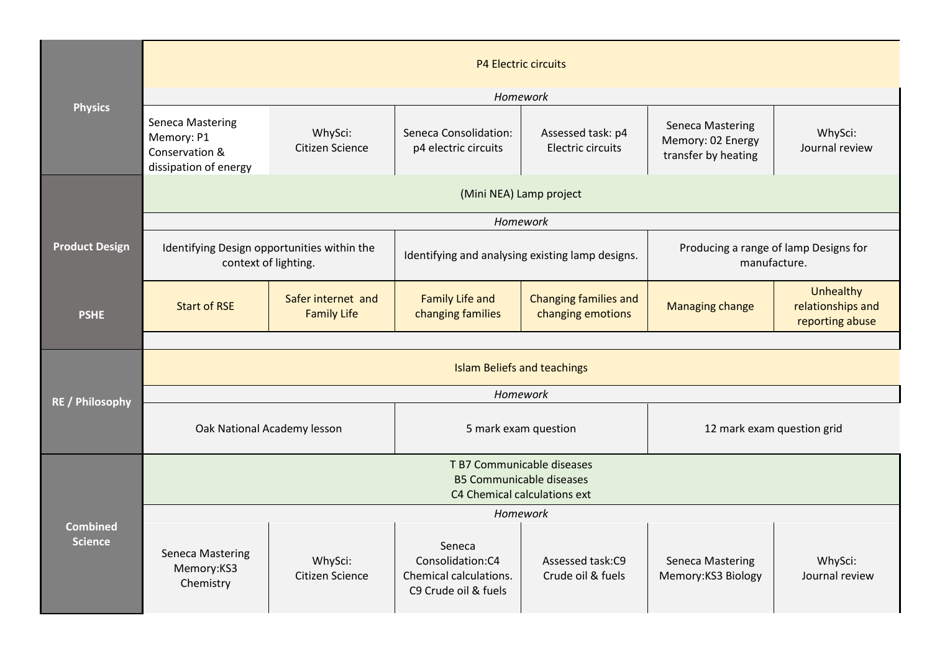|                                   | <b>P4 Electric circuits</b>                                                                   |                                          |                                                                              |                                                   |                                                              |                                                   |  |
|-----------------------------------|-----------------------------------------------------------------------------------------------|------------------------------------------|------------------------------------------------------------------------------|---------------------------------------------------|--------------------------------------------------------------|---------------------------------------------------|--|
| <b>Physics</b>                    | Homework                                                                                      |                                          |                                                                              |                                                   |                                                              |                                                   |  |
|                                   | <b>Seneca Mastering</b><br>Memory: P1<br>Conservation &<br>dissipation of energy              | WhySci:<br>Citizen Science               | Seneca Consolidation:<br>p4 electric circuits                                | Assessed task: p4<br>Electric circuits            | Seneca Mastering<br>Memory: 02 Energy<br>transfer by heating | WhySci:<br>Journal review                         |  |
|                                   | (Mini NEA) Lamp project                                                                       |                                          |                                                                              |                                                   |                                                              |                                                   |  |
|                                   |                                                                                               |                                          | Homework                                                                     |                                                   |                                                              |                                                   |  |
| <b>Product Design</b>             | Identifying Design opportunities within the<br>context of lighting.                           |                                          | Identifying and analysing existing lamp designs.                             |                                                   | Producing a range of lamp Designs for<br>manufacture.        |                                                   |  |
| <b>PSHE</b>                       | <b>Start of RSE</b>                                                                           | Safer internet and<br><b>Family Life</b> | <b>Family Life and</b><br>changing families                                  | <b>Changing families and</b><br>changing emotions | <b>Managing change</b>                                       | Unhealthy<br>relationships and<br>reporting abuse |  |
|                                   |                                                                                               |                                          |                                                                              |                                                   |                                                              |                                                   |  |
|                                   | <b>Islam Beliefs and teachings</b>                                                            |                                          |                                                                              |                                                   |                                                              |                                                   |  |
| <b>RE / Philosophy</b>            | Homework                                                                                      |                                          |                                                                              |                                                   |                                                              |                                                   |  |
|                                   | Oak National Academy lesson                                                                   |                                          | 5 mark exam question                                                         |                                                   | 12 mark exam question grid                                   |                                                   |  |
| <b>Combined</b><br><b>Science</b> | T B7 Communicable diseases<br><b>B5 Communicable diseases</b><br>C4 Chemical calculations ext |                                          |                                                                              |                                                   |                                                              |                                                   |  |
|                                   | Homework                                                                                      |                                          |                                                                              |                                                   |                                                              |                                                   |  |
|                                   | <b>Seneca Mastering</b><br>Memory:KS3<br>Chemistry                                            | WhySci:<br>Citizen Science               | Seneca<br>Consolidation:C4<br>Chemical calculations.<br>C9 Crude oil & fuels | Assessed task:C9<br>Crude oil & fuels             | <b>Seneca Mastering</b><br>Memory:KS3 Biology                | WhySci:<br>Journal review                         |  |